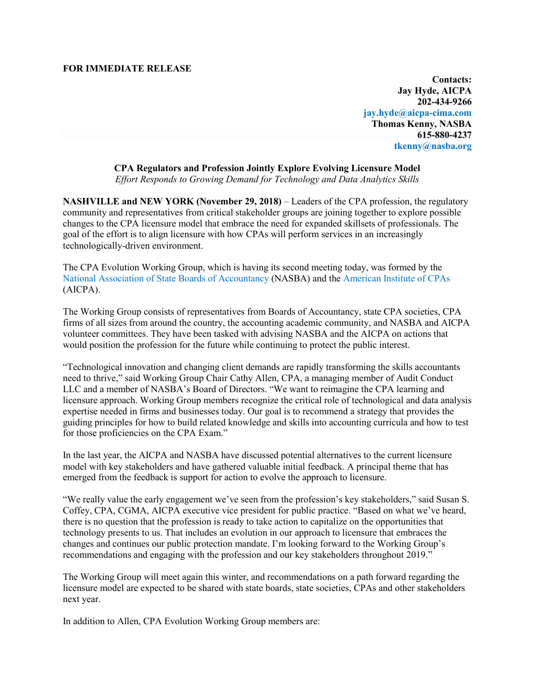## **FOR IMMEDIATE RELEASE**

**Contacts: Jay Hyde, AICPA 202-434-9266 [jay.hyde@aicpa-cima.com](mailto:jay.hyde@aicpa-cima.com) Thomas Kenny, NASBA 615-880-4237 [tkenny@nasba.org](mailto:tkenny@nasba.org)**

## **CPA Regulators and Profession Jointly Explore Evolving Licensure Model**

*Effort Responds to Growing Demand for Technology and Data Analytics Skills* 

**NASHVILLE and NEW YORK (November 29, 2018)** – Leaders of the CPA profession, the regulatory community and representatives from critical stakeholder groups are joining together to explore possible changes to the CPA licensure model that embrace the need for expanded skillsets of professionals. The goal of the effort is to align licensure with how CPAs will perform services in an increasingly technologically-driven environment.

The CPA Evolution Working Group, which is having its second meeting today, was formed by the [National Association of State Boards of Accountancy](https://nasba.org/) (NASBA) and the [American Institute of CPAs](https://www.aicpa.org/) (AICPA).

The Working Group consists of representatives from Boards of Accountancy, state CPA societies, CPA firms of all sizes from around the country, the accounting academic community, and NASBA and AICPA volunteer committees. They have been tasked with advising NASBA and the AICPA on actions that would position the profession for the future while continuing to protect the public interest.

"Technological innovation and changing client demands are rapidly transforming the skills accountants need to thrive," said Working Group Chair Cathy Allen, CPA, a managing member of Audit Conduct LLC and a member of NASBA's Board of Directors. "We want to reimagine the CPA learning and licensure approach. Working Group members recognize the critical role of technological and data analysis expertise needed in firms and businesses today. Our goal is to recommend a strategy that provides the guiding principles for how to build related knowledge and skills into accounting curricula and how to test for those proficiencies on the CPA Exam."

In the last year, the AICPA and NASBA have discussed potential alternatives to the current licensure model with key stakeholders and have gathered valuable initial feedback. A principal theme that has emerged from the feedback is support for action to evolve the approach to licensure.

"We really value the early engagement we've seen from the profession's key stakeholders," said Susan S. Coffey, CPA, CGMA, AICPA executive vice president for public practice. "Based on what we've heard, there is no question that the profession is ready to take action to capitalize on the opportunities that technology presents to us. That includes an evolution in our approach to licensure that embraces the changes and continues our public protection mandate. I'm looking forward to the Working Group's recommendations and engaging with the profession and our key stakeholders throughout 2019."

The Working Group will meet again this winter, and recommendations on a path forward regarding the licensure model are expected to be shared with state boards, state societies, CPAs and other stakeholders next year.

In addition to Allen, CPA Evolution Working Group members are: